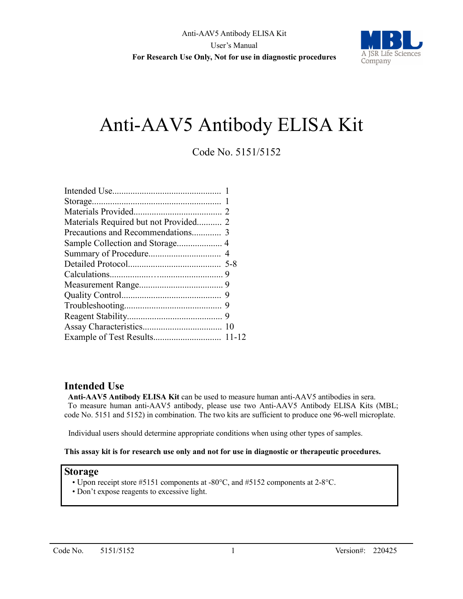

# Anti-AAV5 Antibody ELISA Kit

## Code No. 5151/5152

| Materials Required but not Provided 2 |  |
|---------------------------------------|--|
|                                       |  |
|                                       |  |
|                                       |  |
|                                       |  |
|                                       |  |
|                                       |  |
|                                       |  |
|                                       |  |
|                                       |  |
|                                       |  |
|                                       |  |

### **Intended Use**

**Anti-AAV5 Antibody ELISA Kit** can be used to measure human anti-AAV5 antibodies in sera. To measure human anti-AAV5 antibody, please use two Anti-AAV5 Antibody ELISA Kits (MBL; code No. 5151 and 5152) in combination. The two kits are sufficient to produce one 96-well microplate.

Individual users should determine appropriate conditions when using other types of samples.

### **This assay kit is for research use only and not for use in diagnostic or therapeutic procedures.**

### **Storage**

- Upon receipt store #5151 components at -80°C, and #5152 components at 2-8°C.
- Don't expose reagents to excessive light.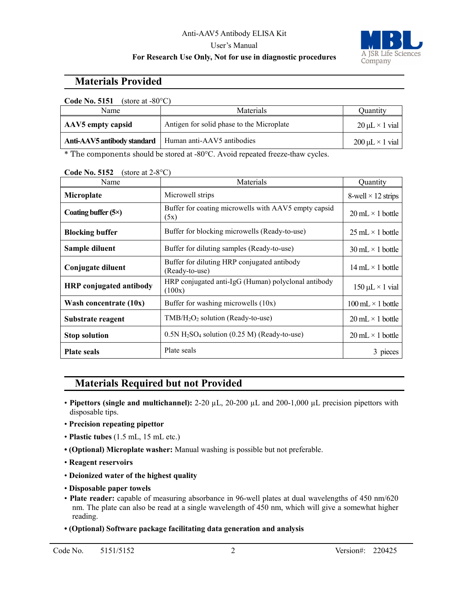### Anti-AAV5 Antibody ELISA Kit User's Manual

### **For Research Use Only, Not for use in diagnostic procedures**



### **Materials Provided**

| <b>Code No. 5151</b><br>(store at $-80^{\circ}$ C) |                                           |                           |  |
|----------------------------------------------------|-------------------------------------------|---------------------------|--|
| Name                                               | <b>Materials</b>                          | Ouantity                  |  |
| AAV5 empty capsid                                  | Antigen for solid phase to the Microplate | $20 \mu L \times 1$ vial  |  |
| Anti-AAV5 antibody standard                        | Human anti-AAV5 antibodies                | $200 \mu L \times 1$ vial |  |

\* The components should be stored at -80°C. Avoid repeated freeze-thaw cycles.

| Name                           | Materials                                                              | Quantity                                 |
|--------------------------------|------------------------------------------------------------------------|------------------------------------------|
| Microplate                     | Microwell strips                                                       | 8-well $\times$ 12 strips                |
| Coating buffer $(5\times)$     | Buffer for coating microwells with AAV5 empty capsid<br>(5x)           | $20 \text{ mL} \times 1 \text{ bottle}$  |
| <b>Blocking buffer</b>         | Buffer for blocking microwells (Ready-to-use)                          | $25 \text{ mL} \times 1 \text{ bottle}$  |
| Sample diluent                 | Buffer for diluting samples (Ready-to-use)                             | $30 \text{ mL} \times 1 \text{ bottle}$  |
| Conjugate diluent              | Buffer for diluting HRP conjugated antibody<br>(Ready-to-use)          | $14 \text{ mL} \times 1 \text{ bottle}$  |
| <b>HRP</b> conjugated antibody | HRP conjugated anti-IgG (Human) polyclonal antibody<br>(100x)          | $150 \mu L \times 1$ vial                |
| Wash concentrate $(10x)$       | Buffer for washing microwells (10x)                                    | $100 \text{ mL} \times 1 \text{ bottle}$ |
| Substrate reagent              | $TMB/H2O2$ solution (Ready-to-use)                                     | $20 \text{ mL} \times 1 \text{ bottle}$  |
| <b>Stop solution</b>           | $0.5N$ H <sub>2</sub> SO <sub>4</sub> solution (0.25 M) (Ready-to-use) | $20 \text{ mL} \times 1 \text{ bottle}$  |
| <b>Plate seals</b>             | Plate seals                                                            | 3 pieces                                 |

**Code No. 5152** (store at 2-8°C)

# **Materials Required but not Provided**

- **Pipettors (single and multichannel):** 2-20 µL, 20-200 µL and 200-1,000 µL precision pipettors with disposable tips.
- **Precision repeating pipettor**
- **Plastic tubes** (1.5 mL, 15 mL etc.)
- **(Optional) Microplate washer:** Manual washing is possible but not preferable.
- **Reagent reservoirs**
- **Deionized water of the highest quality**
- **Disposable paper towels**
- **Plate reader:** capable of measuring absorbance in 96-well plates at dual wavelengths of 450 nm/620 nm. The plate can also be read at a single wavelength of 450 nm, which will give a somewhat higher reading.
- **(Optional) Software package facilitating data generation and analysis**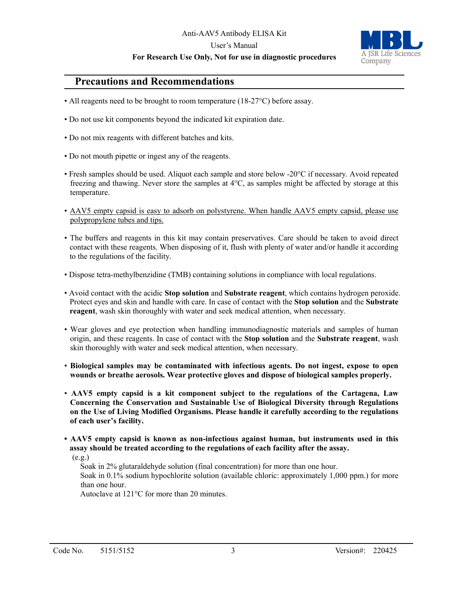#### Anti-AAV5 Antibody ELISA Kit

#### User's Manual

### **For Research Use Only, Not for use in diagnostic procedures**



### **Precautions and Recommendations**

- All reagents need to be brought to room temperature (18-27 °C) before assay.
- Do not use kit components beyond the indicated kit expiration date.
- Do not mix reagents with different batches and kits.
- Do not mouth pipette or ingest any of the reagents.
- Fresh samples should be used. Aliquot each sample and store below -20°C if necessary. Avoid repeated freezing and thawing. Never store the samples at 4°C, as samples might be affected by storage at this temperature.
- AAV5 empty capsid is easy to adsorb on polystyrene. When handle AAV5 empty capsid, please use polypropylene tubes and tips.
- The buffers and reagents in this kit may contain preservatives. Care should be taken to avoid direct contact with these reagents. When disposing of it, flush with plenty of water and/or handle it according to the regulations of the facility.
- Dispose tetra-methylbenzidine (TMB) containing solutions in compliance with local regulations.
- Avoid contact with the acidic **Stop solution** and **Substrate reagent**, which contains hydrogen peroxide. Protect eyes and skin and handle with care. In case of contact with the **Stop solution** and the **Substrate reagent**, wash skin thoroughly with water and seek medical attention, when necessary.
- Wear gloves and eye protection when handling immunodiagnostic materials and samples of human origin, and these reagents. In case of contact with the **Stop solution** and the **Substrate reagent**, wash skin thoroughly with water and seek medical attention, when necessary.
- **Biological samples may be contaminated with infectious agents. Do not ingest, expose to open wounds or breathe aerosols. Wear protective gloves and dispose of biological samples properly.**
- **AAV5 empty capsid is a kit component subject to the regulations of the Cartagena, Law Concerning the Conservation and Sustainable Use of Biological Diversity through Regulations on the Use of Living Modified Organisms. Please handle it carefully according to the regulations of each user's facility.**
- **AAV5 empty capsid is known as non-infectious against human, but instruments used in this assay should be treated according to the regulations of each facility after the assay.**

 $(e.g.)$ 

Soak in 2% glutaraldehyde solution (final concentration) for more than one hour.

 Soak in 0.1% sodium hypochlorite solution (available chloric: approximately 1,000 ppm.) for more than one hour.

Autoclave at 121°C for more than 20 minutes.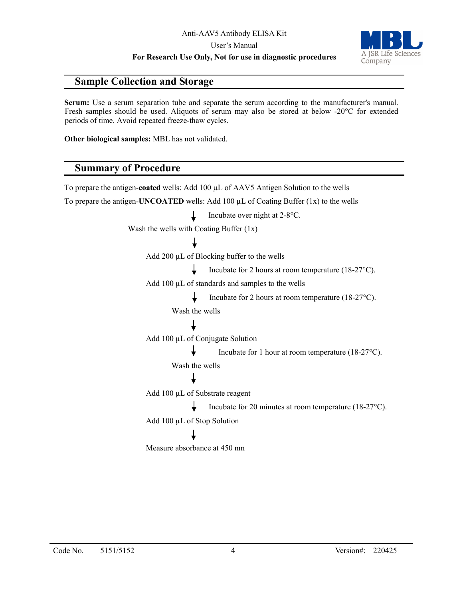User's Manual

**For Research Use Only, Not for use in diagnostic procedures**



### **Sample Collection and Storage**

**Serum:** Use a serum separation tube and separate the serum according to the manufacturer's manual. Fresh samples should be used. Aliquots of serum may also be stored at below -20°C for extended periods of time. Avoid repeated freeze-thaw cycles.

**Other biological samples:** MBL has not validated.

### **Summary of Procedure**

To prepare the antigen-**coated** wells: Add 100 µL of AAV5 Antigen Solution to the wells To prepare the antigen-**UNCOATED** wells: Add 100  $\mu$ L of Coating Buffer (1x) to the wells Incubate over night at 2-8°C.  $\perp$ Wash the wells with Coating Buffer (1x) Add 200 µL of Blocking buffer to the wells Incubate for 2 hours at room temperature (18-27°C). Add 100 µL of standards and samples to the wells T. Incubate for 2 hours at room temperature (18-27°C). Wash the wells Add 100 µL of Conjugate Solution Incubate for 1 hour at room temperature (18-27°C). Wash the wells Add 100 µL of Substrate reagent Incubate for 20 minutes at room temperature (18-27°C). Add 100 µL of Stop Solution Measure absorbance at 450 nm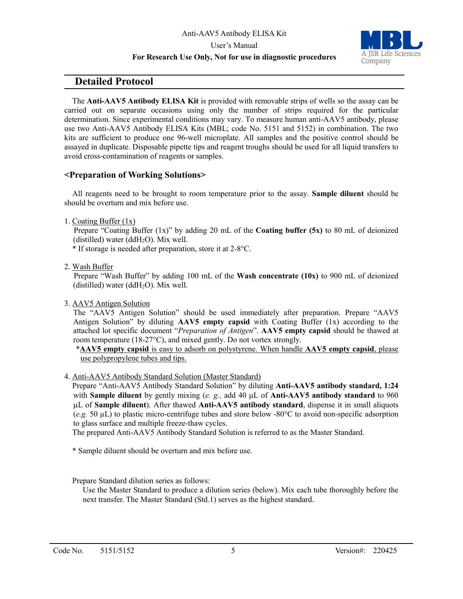#### User's Manual **For Research Use Only, Not for use in diagnostic procedures**



### **Detailed Protocol**

The **Anti-AAV5 Antibody ELISA Kit** is provided with removable strips of wells so the assay can be carried out on separate occasions using only the number of strips required for the particular determination. Since experimental conditions may vary. To measure human anti-AAV5 antibody, please use two Anti-AAV5 Antibody ELISA Kits (MBL; code No. 5151 and 5152) in combination. The two kits are sufficient to produce one 96-well microplate. All samples and the positive control should be assayed in duplicate. Disposable pipette tips and reagent troughs should be used for all liquid transfers to avoid cross-contamination of reagents or samples.

### **<Preparation of Working Solutions>**

All reagents need to be brought to room temperature prior to the assay. **Sample diluent** should be should be overturn and mix before use.

1. Coating Buffer (1x)

Prepare "Coating Buffer (1x)" by adding 20 mL of the **Coating buffer (5x)** to 80 mL of deionized (distilled) water (dd $H_2O$ ). Mix well.

\* If storage is needed after preparation, store it at 2-8°C.

2. Wash Buffer

Prepare "Wash Buffer" by adding 100 mL of the **Wash concentrate (10x)** to 900 mL of deionized (distilled) water (dd $H_2O$ ). Mix well.

3. AAV5 Antigen Solution

The "AAV5 Antigen Solution" should be used immediately after preparation. Prepare "AAV5 Antigen Solution" by diluting **AAV5 empty capsid** with Coating Buffer (1x) according to the attached lot specific document "*Preparation of Antigen*". **AAV5 empty capsid** should be thawed at room temperature (18-27°C), and mixed gently. Do not vortex strongly.

\***AAV5 empty capsid** is easy to adsorb on polystyrene. When handle **AAV5 empty capsid**, please use polypropylene tubes and tips.

4. Anti-AAV5 Antibody Standard Solution (Master Standard)

Prepare "Anti-AAV5 Antibody Standard Solution" by diluting **Anti-AAV5 antibody standard, 1:24** with **Sample diluent** by gently mixing (*e. g.,* add 40 µL of **Anti-AAV5 antibody standard** to 960 µL of **Sample diluent**). After thawed **Anti-AAV5 antibody standard**, dispense it in small aliquots (*e.g.* 50 µL) to plastic micro-centrifuge tubes and store below -80°C to avoid non-specific adsorption to glass surface and multiple freeze-thaw cycles.

The prepared Anti-AAV5 Antibody Standard Solution is referred to as the Master Standard.

- \* Sample diluent should be overturn and mix before use.
- Prepare Standard dilution series as follows:

Use the Master Standard to produce a dilution series (below). Mix each tube thoroughly before the next transfer. The Master Standard (Std.1) serves as the highest standard.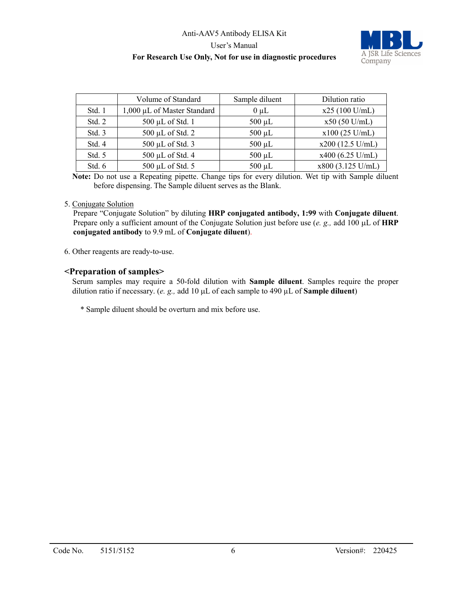

|        | Volume of Standard          | Sample diluent | Dilution ratio     |
|--------|-----------------------------|----------------|--------------------|
| Std. 1 | 1,000 µL of Master Standard | $0 \mu L$      | $x25(100$ U/mL)    |
| Std. 2 | 500 µL of Std. 1            | $500 \mu L$    | $x50(50$ U/mL)     |
| Std. 3 | 500 µL of Std. 2            | $500 \mu L$    | $x100$ (25 U/mL)   |
| Std. 4 | 500 µL of Std. 3            | $500 \mu L$    | $x200$ (12.5 U/mL) |
| Std. 5 | 500 µL of Std. 4            | $500 \mu L$    | $x400$ (6.25 U/mL) |
| Std. 6 | 500 µL of Std. 5            | $500 \mu L$    | x800 (3.125 U/mL)  |

**Note:** Do not use a Repeating pipette. Change tips for every dilution. Wet tip with Sample diluent before dispensing. The Sample diluent serves as the Blank.

#### 5. Conjugate Solution

Prepare "Conjugate Solution" by diluting **HRP conjugated antibody, 1:99** with **Conjugate diluent**. Prepare only a sufficient amount of the Conjugate Solution just before use (*e. g.,* add 100 µL of **HRP conjugated antibody** to 9.9 mL of **Conjugate diluent**).

6. Other reagents are ready-to-use.

#### **<Preparation of samples>**

Serum samples may require a 50-fold dilution with **Sample diluent**. Samples require the proper dilution ratio if necessary. (*e. g.,* add 10 µL of each sample to 490 µL of **Sample diluent**)

\* Sample diluent should be overturn and mix before use.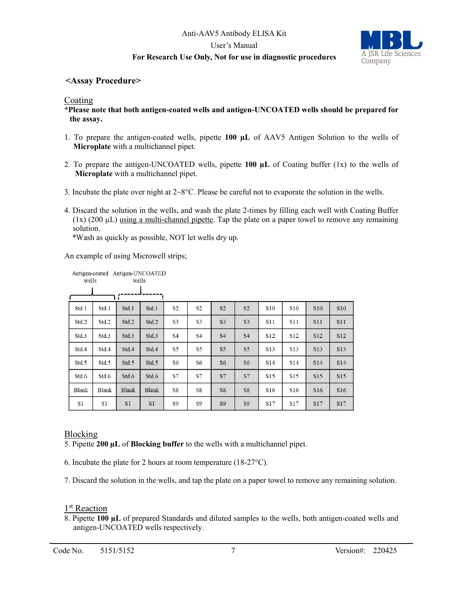

### **<Assay Procedure>**

#### Coating

**\*Please note that both antigen-coated wells and antigen-UNCOATED wells should be prepared for the assay.**

- 1. To prepare the antigen-coated wells, pipette **100 µL** of AAV5 Antigen Solution to the wells of **Microplate** with a multichannel pipet.
- 2. To prepare the antigen-UNCOATED wells, pipette **100 µL** of Coating buffer (1x) to the wells of **Microplate** with a multichannel pipet.
- 3. Incubate the plate over night at  $2 \times 8^{\circ}$ C. Please be careful not to evaporate the solution in the wells.
- 4. Discard the solution in the wells, and wash the plate 2-times by filling each well with Coating Buffer  $(1x)$  (200  $\mu$ L) using a multi-channel pipette. Tap the plate on a paper towel to remove any remaining solution.

\*Wash as quickly as possible, NOT let wells dry up.

An example of using Microwell strips;

| wells        | Antigen-coated Antigen-UNCOATED | wells          |                |                |                |                |                |                 |                 |                 |            |
|--------------|---------------------------------|----------------|----------------|----------------|----------------|----------------|----------------|-----------------|-----------------|-----------------|------------|
|              |                                 |                |                |                |                |                |                |                 |                 |                 |            |
| Std.1        | Std.1                           | Std.1          | Std.1          | S <sub>2</sub> | S <sub>2</sub> | S <sub>2</sub> | S <sub>2</sub> | S <sub>10</sub> | S10             | <b>S10</b>      | <b>S10</b> |
| Std.2        | Std.2                           | Std.2          | Std.2          | S3             | S3             | S <sub>3</sub> | S <sub>3</sub> | S11             | S11             | <b>S11</b>      | S11        |
| Std.3        | Std.3                           | Std.3          | Std.3          | S4             | S4             | S <sub>4</sub> | <b>S4</b>      | S12             | S12             | S12             | S12        |
| Std.4        | Std.4                           | Std.4          | Std.4          | S5             | S5             | S <sub>5</sub> | S <sub>5</sub> | S <sub>13</sub> | S <sub>13</sub> | <b>S13</b>      | S13        |
| Std.5        | Std.5                           | Std.5          | Std.5          | S6             | S6             | S <sub>6</sub> | S <sub>6</sub> | S <sub>14</sub> | S <sub>14</sub> | <b>S14</b>      | S14        |
| Std.6        | Std.6                           | Std.6          | Std.6          | S7             | S7             | S7             | S7             | S15             | S15             | S15             | S15        |
| <b>Blank</b> | <b>Blank</b>                    | <b>Blank</b>   | <b>Blank</b>   | S8             | S8             | S8             | S8             | S <sub>16</sub> | S <sub>16</sub> | S <sub>16</sub> | S16        |
| S1           | S1                              | S <sub>1</sub> | S <sub>1</sub> | S9             | S9             | S <sub>9</sub> | S <sub>9</sub> | S17             | S17             | S17             | S17        |

### Blocking

5. Pipette **200 µL** of **Blocking buffer** to the wells with a multichannel pipet.

6. Incubate the plate for 2 hours at room temperature (18-27°C).

7. Discard the solution in the wells, and tap the plate on a paper towel to remove any remaining solution.

#### 1<sup>st</sup> Reaction

8. Pipette **100 µL** of prepared Standards and diluted samples to the wells, both antigen-coated wells and antigen-UNCOATED wells respectively.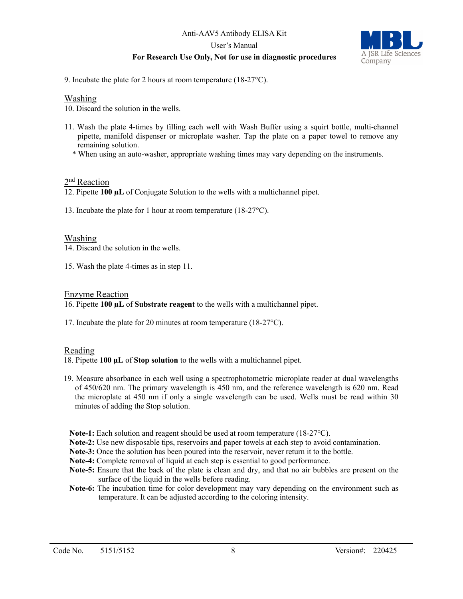

9. Incubate the plate for 2 hours at room temperature (18-27°C).

#### Washing

10. Discard the solution in the wells.

- 11. Wash the plate 4-times by filling each well with Wash Buffer using a squirt bottle, multi-channel pipette, manifold dispenser or microplate washer. Tap the plate on a paper towel to remove any remaining solution.
	- \* When using an auto-washer, appropriate washing times may vary depending on the instruments.

#### 2<sup>nd</sup> Reaction

12. Pipette **100 µL** of Conjugate Solution to the wells with a multichannel pipet.

13. Incubate the plate for 1 hour at room temperature (18-27°C).

#### Washing

- 14. Discard the solution in the wells.
- 15. Wash the plate 4-times as in step 11.

#### Enzyme Reaction

16. Pipette **100 µL** of **Substrate reagent** to the wells with a multichannel pipet.

17. Incubate the plate for 20 minutes at room temperature (18-27°C).

#### Reading

18. Pipette **100 µL** of **Stop solution** to the wells with a multichannel pipet.

- 19. Measure absorbance in each well using a spectrophotometric microplate reader at dual wavelengths of 450/620 nm. The primary wavelength is 450 nm, and the reference wavelength is 620 nm. Read the microplate at 450 nm if only a single wavelength can be used. Wells must be read within 30 minutes of adding the Stop solution.
	- **Note-1:** Each solution and reagent should be used at room temperature (18-27°C).
	- **Note-2:** Use new disposable tips, reservoirs and paper towels at each step to avoid contamination.
	- **Note-3:** Once the solution has been poured into the reservoir, never return it to the bottle.
	- **Note-4:** Complete removal of liquid at each step is essential to good performance.
	- **Note-5:** Ensure that the back of the plate is clean and dry, and that no air bubbles are present on the surface of the liquid in the wells before reading.
	- **Note-6:** The incubation time for color development may vary depending on the environment such as temperature. It can be adjusted according to the coloring intensity.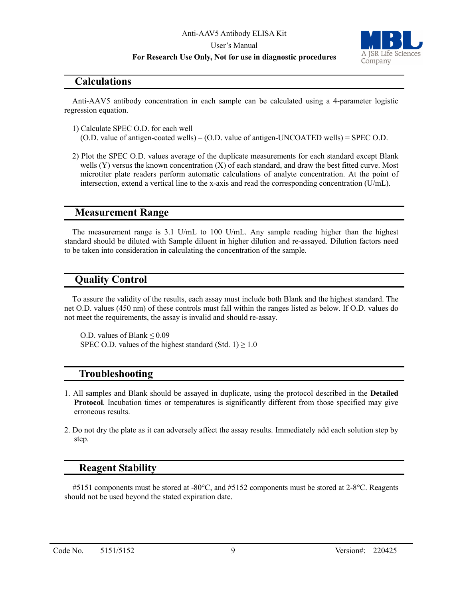#### User's Manual

#### **For Research Use Only, Not for use in diagnostic procedures**



### **Calculations**

Anti-AAV5 antibody concentration in each sample can be calculated using a 4-parameter logistic regression equation.

1) Calculate SPEC O.D. for each well

(O.D. value of antigen-coated wells) – (O.D. value of antigen-UNCOATED wells) = SPEC O.D.

2) Plot the SPEC O.D. values average of the duplicate measurements for each standard except Blank wells (Y) versus the known concentration (X) of each standard, and draw the best fitted curve. Most microtiter plate readers perform automatic calculations of analyte concentration. At the point of intersection, extend a vertical line to the x-axis and read the corresponding concentration (U/mL).

### **Measurement Range**

The measurement range is 3.1 U/mL to 100 U/mL. Any sample reading higher than the highest standard should be diluted with Sample diluent in higher dilution and re-assayed. Dilution factors need to be taken into consideration in calculating the concentration of the sample.

### **Quality Control**

To assure the validity of the results, each assay must include both Blank and the highest standard. The net O.D. values (450 nm) of these controls must fall within the ranges listed as below. If O.D. values do not meet the requirements, the assay is invalid and should re-assay.

O.D. values of Blank ≤ 0.09 SPEC O.D. values of the highest standard (Std. 1)  $\geq$  1.0

### **Troubleshooting**

- 1. All samples and Blank should be assayed in duplicate, using the protocol described in the **Detailed Protocol**. Incubation times or temperatures is significantly different from those specified may give erroneous results.
- 2. Do not dry the plate as it can adversely affect the assay results. Immediately add each solution step by step.

### **Reagent Stability**

#5151 components must be stored at -80°C, and #5152 components must be stored at 2-8°C. Reagents should not be used beyond the stated expiration date.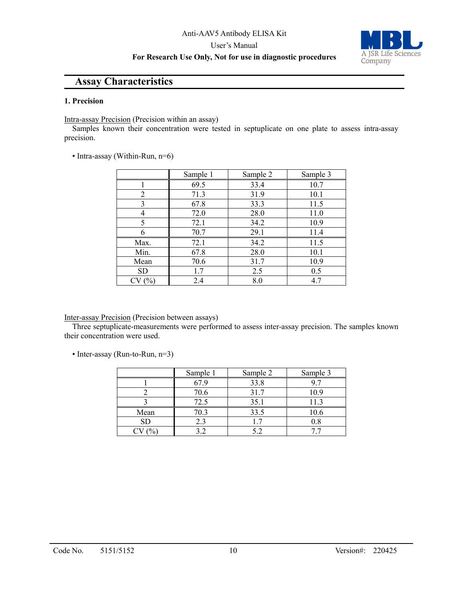#### User's Manual

### **For Research Use Only, Not for use in diagnostic procedures**



### **Assay Characteristics**

#### **1. Precision**

Intra-assay Precision (Precision within an assay)

Samples known their concentration were tested in septuplicate on one plate to assess intra-assay precision.

• Intra-assay (Within-Run, n=6)

|      | Sample 1<br>Sample 2 |      | Sample 3 |
|------|----------------------|------|----------|
|      | 69.5                 | 33.4 | 10.7     |
| 2    | 71.3                 | 31.9 | 10.1     |
| 3    | 67.8                 | 33.3 | 11.5     |
| 4    | 72.0                 | 28.0 | 11.0     |
| 5    | 72.1                 | 34.2 | 10.9     |
|      | 70.7                 | 29.1 | 11.4     |
| Max. | 72.1                 | 34.2 | 11.5     |
| Min. | 67.8                 | 28.0 | 10.1     |
| Mean | 70.6                 | 31.7 | 10.9     |
| SD   | 1.7                  | 2.5  | 0.5      |
| (%)  | 2.4                  | 8.0  | 4.7      |

#### Inter-assay Precision (Precision between assays)

Three septuplicate-measurements were performed to assess inter-assay precision. The samples known their concentration were used.

• Inter-assay (Run-to-Run, n=3)

|      | Sample 1 | Sample 2 | Sample 3 |
|------|----------|----------|----------|
|      | 67.9     | 33.8     |          |
|      | 70.6     | 31.7     | 10.9     |
|      | 72.5     | 35.1     | 11.3     |
| Mean | 70.3     | 33.5     | 10.6     |
| SD   |          |          |          |
|      |          |          |          |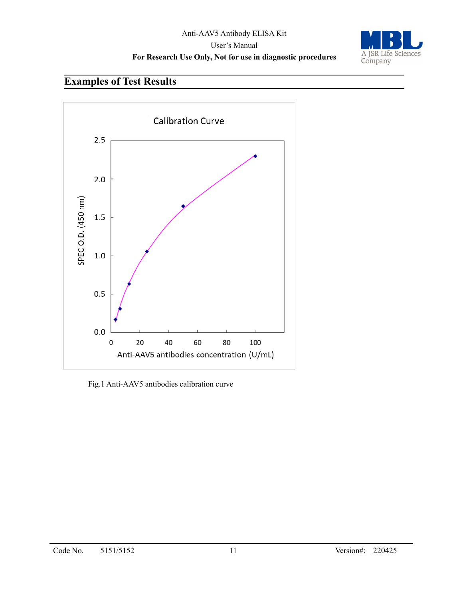

# **Examples of Test Results**



Fig.1 Anti-AAV5 antibodies calibration curve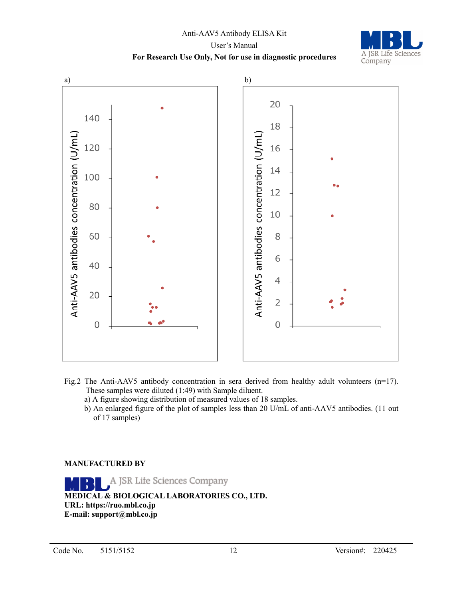

- Fig.2 The Anti-AAV5 antibody concentration in sera derived from healthy adult volunteers  $(n=17)$ . These samples were diluted (1:49) with Sample diluent.
	- a) A figure showing distribution of measured values of 18 samples.
	- b) An enlarged figure of the plot of samples less than 20 U/mL of anti-AAV5 antibodies. (11 out of 17 samples)

### **MANUFACTURED BY**

A JSR Life Sciences Company **MEDICAL & BIOLOGICAL LABORATORIES CO., LTD. URL: https://ruo.mbl.co.jp E-mail: support@mbl.co.jp**